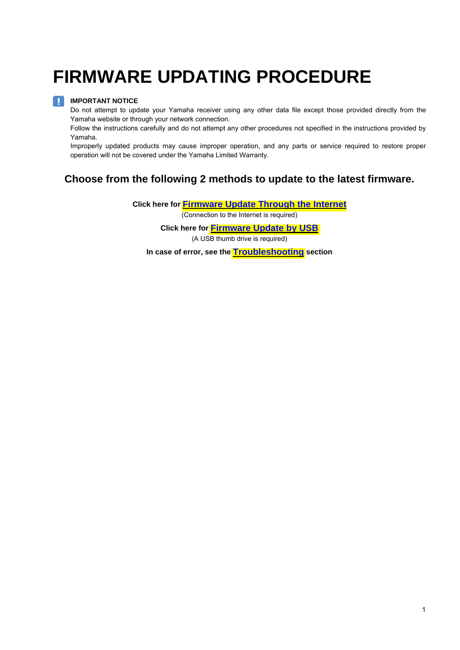# **FIRMWARE UPDATING PROCEDURE**

#### **IMPORTANT NOTICE**  H.

Do not attempt to update your Yamaha receiver using any other data file except those provided directly from the Yamaha website or through your network connection.

Follow the instructions carefully and do not attempt any other procedures not specified in the instructions provided by Yamaha.

Improperly updated products may cause improper operation, and any parts or service required to restore proper operation will not be covered under the Yamaha Limited Warranty.

#### **Choose from the following 2 methods to update to the latest firmware.**

**Click here for [Firmware Update Through the Internet](#page-1-0)**

(Connection to the Internet is required)

**Click here for [Firmware Update by USB](#page-3-0)**

(A USB thumb drive is required)

**In case of error, see th[e Troubleshooting](#page-5-0) section**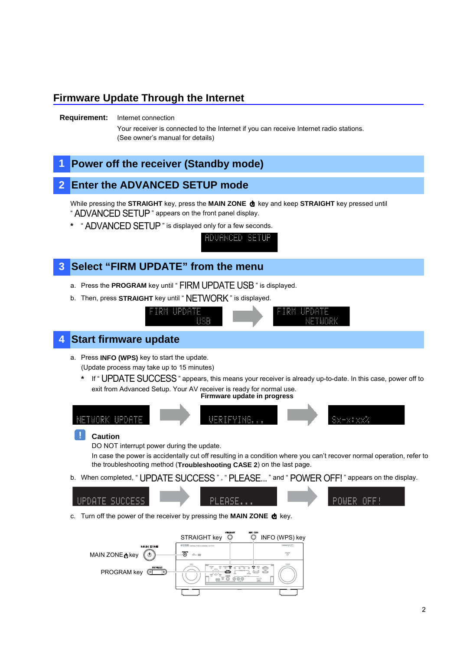### <span id="page-1-0"></span>**Firmware Update Through the Internet**

#### **Requirement:** Internet connection

Your receiver is connected to the Internet if you can receive Internet radio stations. (See owner's manual for details)

### **Power off the receiver (Standby mode)**

#### **2 Enter the ADVANCED SETUP mode**

While pressing the **STRAIGHT** key, press the **MAIN ZONE**  $\Phi$  key and keep **STRAIGHT** key pressed until " ADVANCED SETUP " appears on the front panel display.

ADVANCED SETUP

**\*** " ADVANCED SETUP " is displayed only for a few seconds.



- a. Press the **PROGRAM** key until " FIRM UPDATE USB " is displayed.
- b. Then, press **STRAIGHT** key until " NETWORK " is displayed.



c. Turn off the power of the receiver by pressing the **MAIN ZONE**  $\bullet$  key.

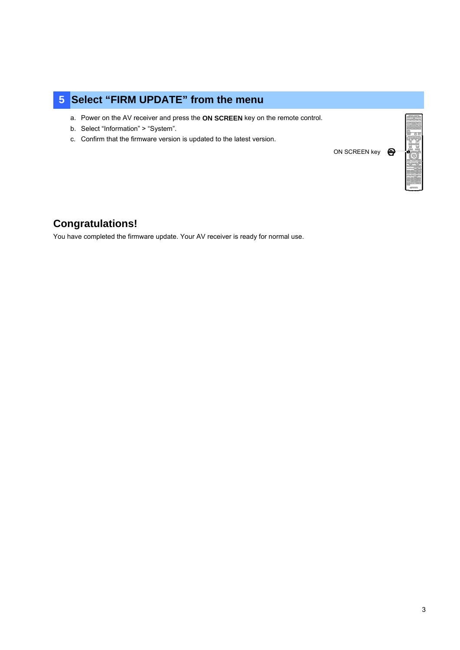# **5 Select "FIRM UPDATE" from the menu**

- a. Power on the AV receiver and press the **ON SCREEN** key on the remote control.
- b. Select "Information" > "System".
- c. Confirm that the firmware version is updated to the latest version.

ON SCREEN key



### **Congratulations!**

You have completed the firmware update. Your AV receiver is ready for normal use.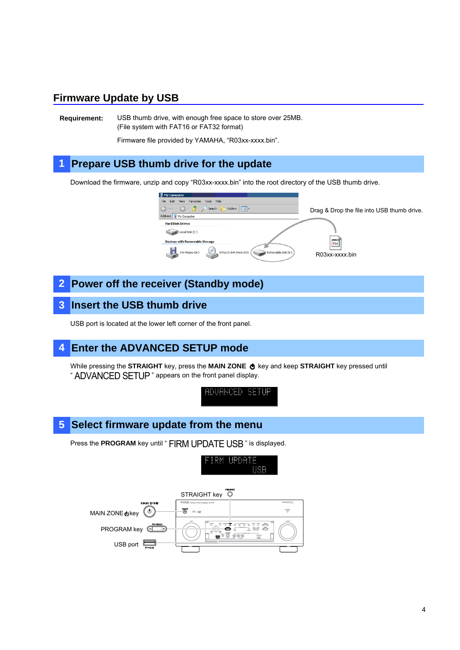#### <span id="page-3-0"></span>**Firmware Update by USB**

**Requirement:** USB thumb drive, with enough free space to store over 25MB. (File system with FAT16 or FAT32 format)

Firmware file provided by YAMAHA, "R03xx-xxxx.bin".

# **1 Prepare USB thumb drive for the update**

Download the firmware, unzip and copy "R03xx-xxxx.bin" into the root directory of the USB thumb drive.



**2 Power off the receiver (Standby mode)** 

#### **3 Insert the USB thumb drive**

USB port is located at the lower left corner of the front panel.

#### **4 Enter the ADVANCED SETUP mode**

While pressing the **STRAIGHT** key, press the **MAIN ZONE**  $\Phi$  key and keep **STRAIGHT** key pressed until " ADVANCED SETUP " appears on the front panel display.

ADUANCED SETUR

#### **5 Select firmware update from the menu**

Press the **PROGRAM** key until " FIRM UPDATE USB " is displayed.

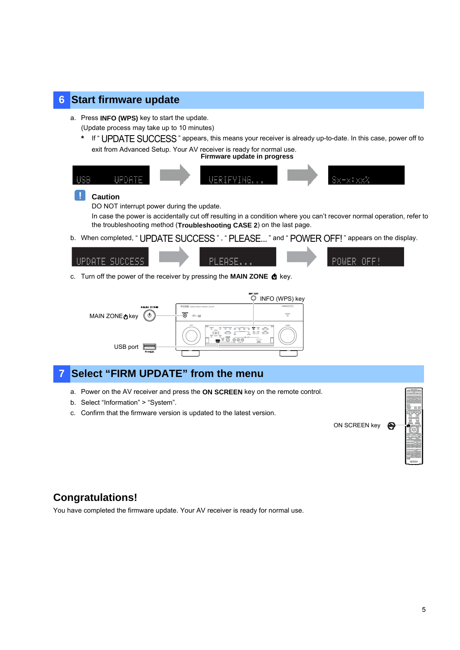#### **6 Start firmware update**

a. Press **INFO (WPS)** key to start the update.

(Update process may take up to 10 minutes)

If " UPDATE SUCCESS " appears, this means your receiver is already up-to-date. In this case, power off to exit from Advanced Setup. Your AV receiver is ready for normal use.

**Firmware update in progress**



#### П **Caution**

DO NOT interrupt power during the update.

In case the power is accidentally cut off resulting in a condition where you can't recover normal operation, refer to the troubleshooting method (**Troubleshooting CASE 2**) on the last page.

b. When completed, " UPDATE SUCCESS ", " PLEASE... " and " POWER OFF! " appears on the display.



c. Turn off the power of the receiver by pressing the **MAIN ZONE @** key.



# *Select "FIRM UPDATE" from the menu*

- a. Power on the AV receiver and press the **ON SCREEN** key on the remote control.
- b. Select "Information" > "System".
- c. Confirm that the firmware version is updated to the latest version.

ON SCREEN key



# **Congratulations!**

You have completed the firmware update. Your AV receiver is ready for normal use.